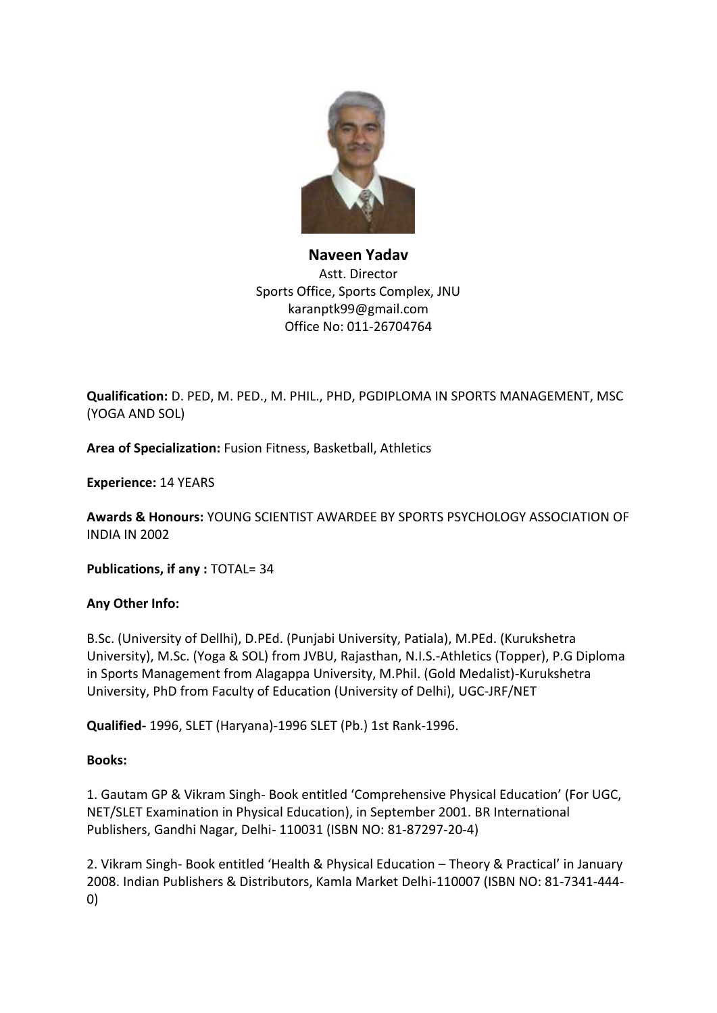

## **Naveen Yadav** Astt. Director Sports Office, Sports Complex, JNU karanptk99@gmail.com Office No: 011-26704764

**Qualification:** D. PED, M. PED., M. PHIL., PHD, PGDIPLOMA IN SPORTS MANAGEMENT, MSC (YOGA AND SOL)

**Area of Specialization:** Fusion Fitness, Basketball, Athletics

**Experience:** 14 YEARS

**Awards & Honours:** YOUNG SCIENTIST AWARDEE BY SPORTS PSYCHOLOGY ASSOCIATION OF INDIA IN 2002

**Publications, if any :** TOTAL= 34

## **Any Other Info:**

B.Sc. (University of Dellhi), D.PEd. (Punjabi University, Patiala), M.PEd. (Kurukshetra University), M.Sc. (Yoga & SOL) from JVBU, Rajasthan, N.I.S.-Athletics (Topper), P.G Diploma in Sports Management from Alagappa University, M.Phil. (Gold Medalist)-Kurukshetra University, PhD from Faculty of Education (University of Delhi), UGC-JRF/NET

**Qualified-** 1996, SLET (Haryana)-1996 SLET (Pb.) 1st Rank-1996.

## **Books:**

1. Gautam GP & Vikram Singh- Book entitled 'Comprehensive Physical Education' (For UGC, NET/SLET Examination in Physical Education), in September 2001. BR International Publishers, Gandhi Nagar, Delhi- 110031 (ISBN NO: 81-87297-20-4)

2. Vikram Singh- Book entitled 'Health & Physical Education – Theory & Practical' in January 2008. Indian Publishers & Distributors, Kamla Market Delhi-110007 (ISBN NO: 81-7341-444- 0)